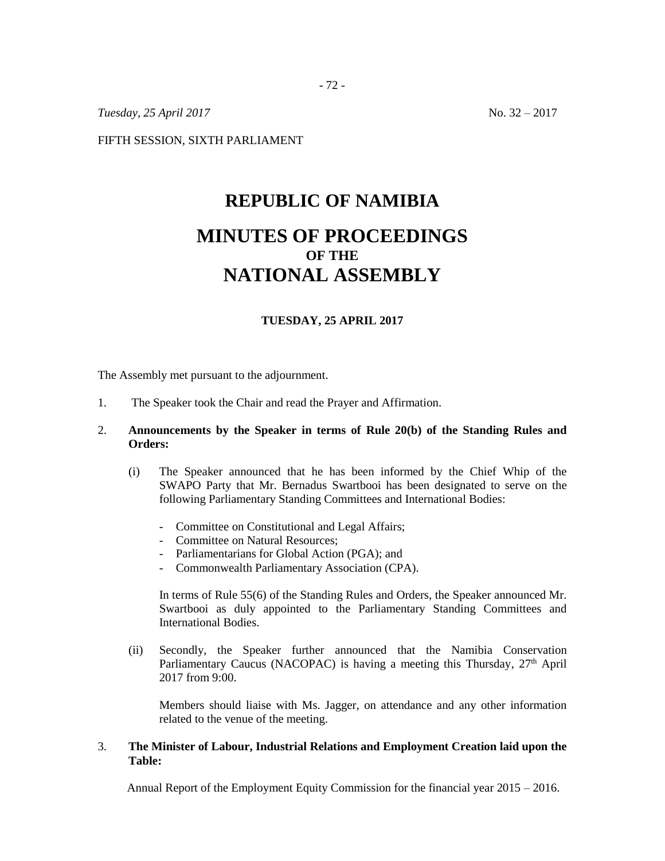*Tuesday, 25 April 2017* No. 32 – 2017

FIFTH SESSION, SIXTH PARLIAMENT

# **REPUBLIC OF NAMIBIA**

# **MINUTES OF PROCEEDINGS OF THE NATIONAL ASSEMBLY**

# **TUESDAY, 25 APRIL 2017**

The Assembly met pursuant to the adjournment.

1. The Speaker took the Chair and read the Prayer and Affirmation.

# 2. **Announcements by the Speaker in terms of Rule 20(b) of the Standing Rules and Orders:**

- (i) The Speaker announced that he has been informed by the Chief Whip of the SWAPO Party that Mr. Bernadus Swartbooi has been designated to serve on the following Parliamentary Standing Committees and International Bodies:
	- Committee on Constitutional and Legal Affairs;
	- Committee on Natural Resources;
	- Parliamentarians for Global Action (PGA); and
	- Commonwealth Parliamentary Association (CPA).

In terms of Rule 55(6) of the Standing Rules and Orders, the Speaker announced Mr. Swartbooi as duly appointed to the Parliamentary Standing Committees and International Bodies.

(ii) Secondly, the Speaker further announced that the Namibia Conservation Parliamentary Caucus (NACOPAC) is having a meeting this Thursday, 27<sup>th</sup> April 2017 from 9:00.

Members should liaise with Ms. Jagger, on attendance and any other information related to the venue of the meeting.

# 3. **The Minister of Labour, Industrial Relations and Employment Creation laid upon the Table:**

Annual Report of the Employment Equity Commission for the financial year 2015 – 2016.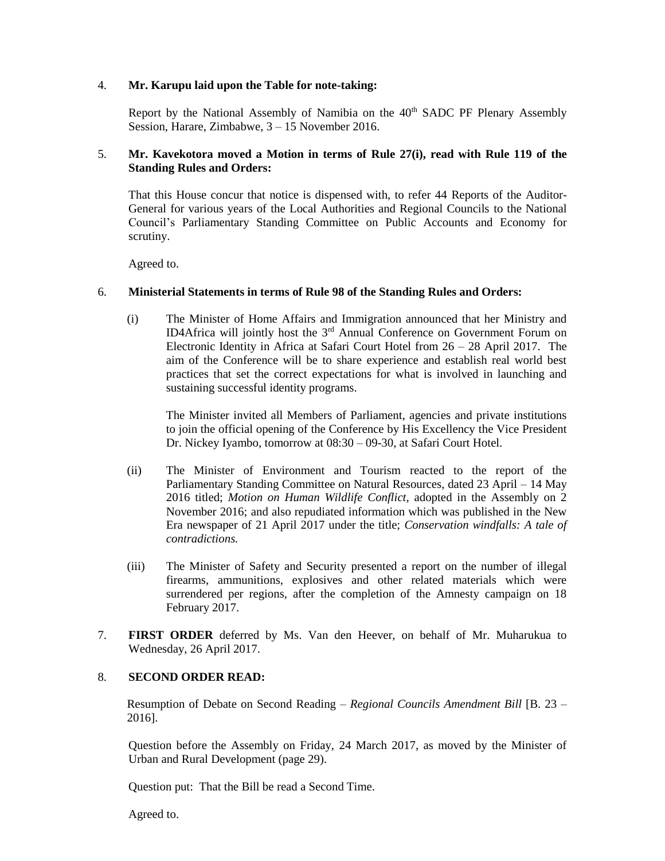#### 4. **Mr. Karupu laid upon the Table for note-taking:**

Report by the National Assembly of Namibia on the 40<sup>th</sup> SADC PF Plenary Assembly Session, Harare, Zimbabwe, 3 – 15 November 2016.

# 5. **Mr. Kavekotora moved a Motion in terms of Rule 27(i), read with Rule 119 of the Standing Rules and Orders:**

That this House concur that notice is dispensed with, to refer 44 Reports of the Auditor-General for various years of the Local Authorities and Regional Councils to the National Council's Parliamentary Standing Committee on Public Accounts and Economy for scrutiny.

Agreed to.

# 6. **Ministerial Statements in terms of Rule 98 of the Standing Rules and Orders:**

(i) The Minister of Home Affairs and Immigration announced that her Ministry and ID4Africa will jointly host the 3rd Annual Conference on Government Forum on Electronic Identity in Africa at Safari Court Hotel from 26 – 28 April 2017. The aim of the Conference will be to share experience and establish real world best practices that set the correct expectations for what is involved in launching and sustaining successful identity programs.

The Minister invited all Members of Parliament, agencies and private institutions to join the official opening of the Conference by His Excellency the Vice President Dr. Nickey Iyambo, tomorrow at 08:30 – 09-30, at Safari Court Hotel.

- (ii) The Minister of Environment and Tourism reacted to the report of the Parliamentary Standing Committee on Natural Resources, dated 23 April – 14 May 2016 titled; *Motion on Human Wildlife Conflict,* adopted in the Assembly on 2 November 2016; and also repudiated information which was published in the New Era newspaper of 21 April 2017 under the title; *Conservation windfalls: A tale of contradictions.*
- (iii) The Minister of Safety and Security presented a report on the number of illegal firearms, ammunitions, explosives and other related materials which were surrendered per regions, after the completion of the Amnesty campaign on 18 February 2017.
- 7. **FIRST ORDER** deferred by Ms. Van den Heever, on behalf of Mr. Muharukua to Wednesday, 26 April 2017.

# 8. **SECOND ORDER READ:**

Resumption of Debate on Second Reading – *Regional Councils Amendment Bill* [B. 23 – 2016].

Question before the Assembly on Friday, 24 March 2017, as moved by the Minister of Urban and Rural Development (page 29).

Question put: That the Bill be read a Second Time.

Agreed to.